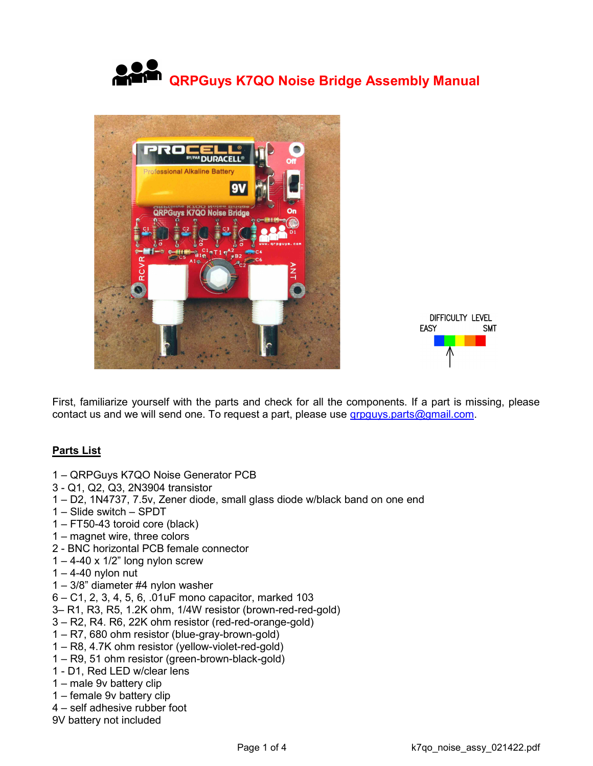



First, familiarize yourself with the parts and check for all the components. If a part is missing, please contact us and we will send one. To request a part, please use grpguys.parts@gmail.com.

## Parts List

- 1 QRPGuys K7QO Noise Generator PCB
- 3 Q1, Q2, Q3, 2N3904 transistor
- 1 D2, 1N4737, 7.5v, Zener diode, small glass diode w/black band on one end
- 1 Slide switch SPDT
- 1 FT50-43 toroid core (black)
- 1 magnet wire, three colors
- 2 BNC horizontal PCB female connector
- $1 4 40 \times 1/2$ " long nylon screw
- $1 4 40$  nylon nut
- 1 3/8" diameter #4 nylon washer
- 6 C1, 2, 3, 4, 5, 6, .01uF mono capacitor, marked 103
- 3– R1, R3, R5, 1.2K ohm, 1/4W resistor (brown-red-red-gold)
- 3 R2, R4. R6, 22K ohm resistor (red-red-orange-gold)
- 1 R7, 680 ohm resistor (blue-gray-brown-gold)
- 1 R8, 4.7K ohm resistor (yellow-violet-red-gold)
- 1 R9, 51 ohm resistor (green-brown-black-gold)
- 1 D1, Red LED w/clear lens
- 1 male 9v battery clip
- 1 female 9v battery clip
- 4 self adhesive rubber foot
- 9V battery not included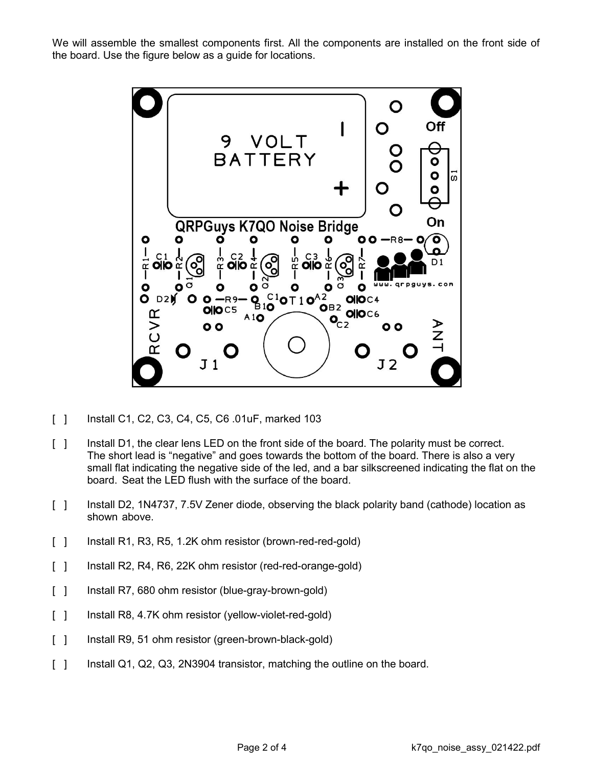We will assemble the smallest components first. All the components are installed on the front side of the board. Use the figure below as a guide for locations.



- [ ] Install C1, C2, C3, C4, C5, C6 .01uF, marked 103
- [ ] Install D1, the clear lens LED on the front side of the board. The polarity must be correct. The short lead is "negative" and goes towards the bottom of the board. There is also a very small flat indicating the negative side of the led, and a bar silkscreened indicating the flat on the board. Seat the LED flush with the surface of the board.
- [ ] Install D2, 1N4737, 7.5V Zener diode, observing the black polarity band (cathode) location as shown above.
- [ ] Install R1, R3, R5, 1.2K ohm resistor (brown-red-red-gold)
- [ ] Install R2, R4, R6, 22K ohm resistor (red-red-orange-gold)
- [ ] Install R7, 680 ohm resistor (blue-gray-brown-gold)
- [ ] Install R8, 4.7K ohm resistor (yellow-violet-red-gold)
- [ ] Install R9, 51 ohm resistor (green-brown-black-gold)
- [ ] Install Q1, Q2, Q3, 2N3904 transistor, matching the outline on the board.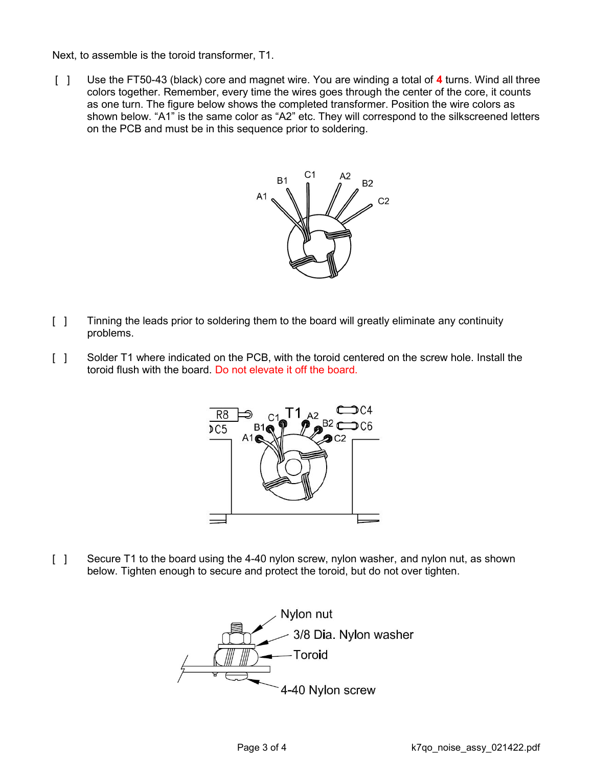Next, to assemble is the toroid transformer, T1.

[ ] Use the FT50-43 (black) core and magnet wire. You are winding a total of 4 turns. Wind all three colors together. Remember, every time the wires goes through the center of the core, it counts as one turn. The figure below shows the completed transformer. Position the wire colors as shown below. "A1" is the same color as "A2" etc. They will correspond to the silkscreened letters on the PCB and must be in this sequence prior to soldering.



- [ ] Tinning the leads prior to soldering them to the board will greatly eliminate any continuity problems.
- [ ] Solder T1 where indicated on the PCB, with the toroid centered on the screw hole. Install the toroid flush with the board. Do not elevate it off the board.



[ ] Secure T1 to the board using the 4-40 nylon screw, nylon washer, and nylon nut, as shown below. Tighten enough to secure and protect the toroid, but do not over tighten.